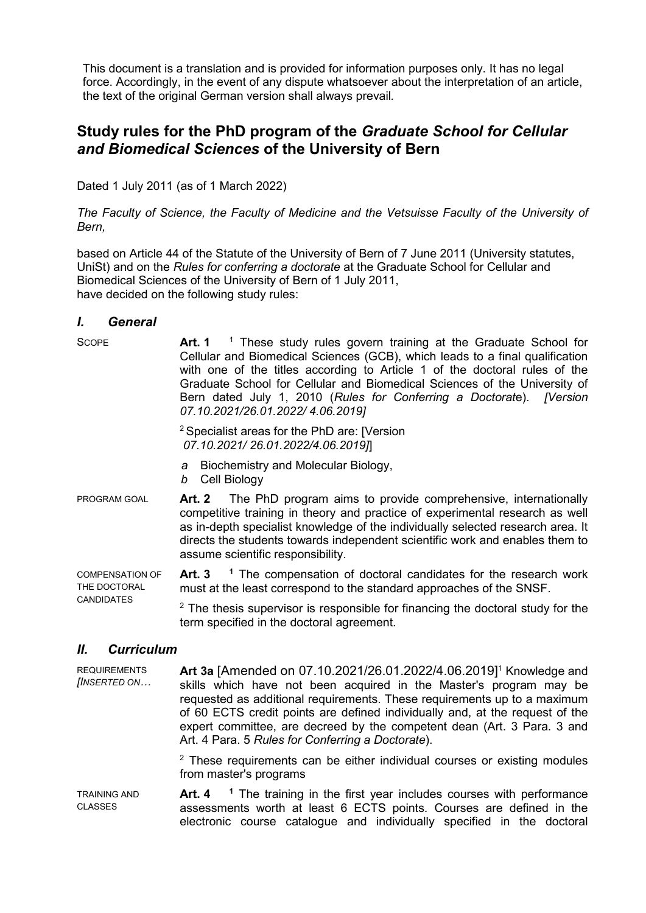This document is a translation and is provided for information purposes only. It has no legal force. Accordingly, in the event of any dispute whatsoever about the interpretation of an article, the text of the original German version shall always prevail*.*

## **Study rules for the PhD program of the** *Graduate School for Cellular and Biomedical Sciences* **of the University of Bern**

Dated 1 July 2011 (as of 1 March 2022)

*The Faculty of Science, the Faculty of Medicine and the Vetsuisse Faculty of the University of Bern,*

based on Article 44 of the Statute of the University of Bern of 7 June 2011 (University statutes, UniSt) and on the *Rules for conferring a doctorate* at the Graduate School for Cellular and Biomedical Sciences of the University of Bern of 1 July 2011, have decided on the following study rules:

## *I. General*

| <b>SCOPE</b>                                         | <sup>1</sup> These study rules govern training at the Graduate School for<br>Art. 1<br>Cellular and Biomedical Sciences (GCB), which leads to a final qualification<br>with one of the titles according to Article 1 of the doctoral rules of the<br>Graduate School for Cellular and Biomedical Sciences of the University of<br>Bern dated July 1, 2010 (Rules for Conferring a Doctorate). [Version<br>07.10.2021/26.01.2022/4.06.2019] |  |  |
|------------------------------------------------------|--------------------------------------------------------------------------------------------------------------------------------------------------------------------------------------------------------------------------------------------------------------------------------------------------------------------------------------------------------------------------------------------------------------------------------------------|--|--|
|                                                      | <sup>2</sup> Specialist areas for the PhD are: [Version]<br>07.10.2021/26.01.2022/4.06.2019]                                                                                                                                                                                                                                                                                                                                               |  |  |
|                                                      | a Biochemistry and Molecular Biology,<br>b Cell Biology                                                                                                                                                                                                                                                                                                                                                                                    |  |  |
| PROGRAM GOAL                                         | Art. 2 The PhD program aims to provide comprehensive, internationally<br>competitive training in theory and practice of experimental research as well<br>as in-depth specialist knowledge of the individually selected research area. It<br>directs the students towards independent scientific work and enables them to<br>assume scientific responsibility.                                                                              |  |  |
| <b>COMPENSATION OF</b><br>THE DOCTORAL<br>CANDIDATES | <sup>1</sup> The compensation of doctoral candidates for the research work<br>Art. 3<br>must at the least correspond to the standard approaches of the SNSF.                                                                                                                                                                                                                                                                               |  |  |

 $2$  The thesis supervisor is responsible for financing the doctoral study for the term specified in the doctoral agreement.

## *II. Curriculum*

**REQUIREMENTS** *[INSERTED ON…* **Art 3a** [Amended on 07.10.2021/26.01.2022/4.06.2019]1 Knowledge and skills which have not been acquired in the Master's program may be requested as additional requirements. These requirements up to a maximum of 60 ECTS credit points are defined individually and, at the request of the expert committee, are decreed by the competent dean (Art. 3 Para. 3 and Art. 4 Para. 5 *Rules for Conferring a Doctorate*).

> $2$  These requirements can be either individual courses or existing modules from master's programs

TRAINING AND CLASSES **Art. 4 <sup>1</sup>** The training in the first year includes courses with performance assessments worth at least 6 ECTS points. Courses are defined in the electronic course catalogue and individually specified in the doctoral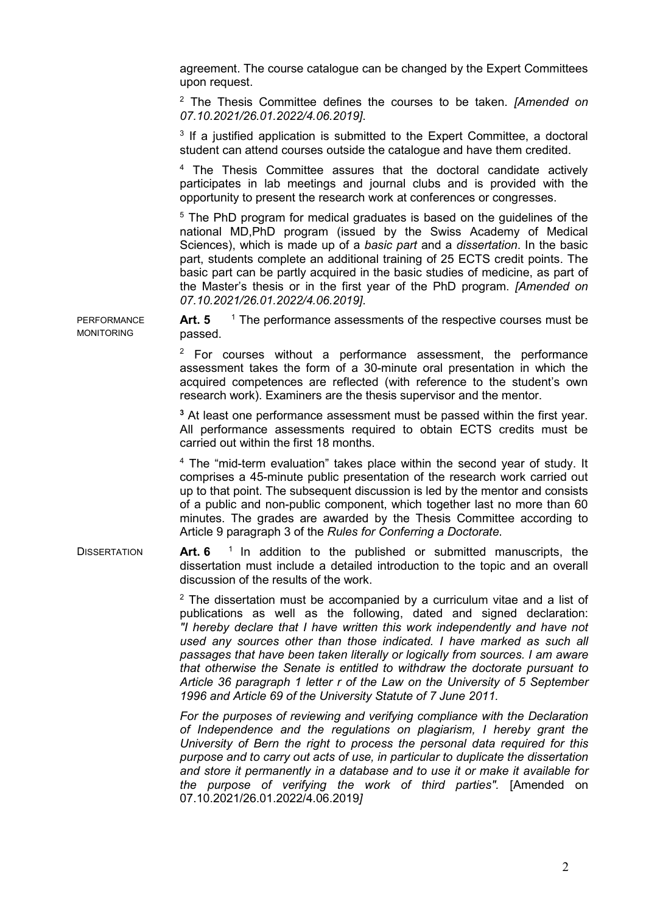agreement. The course catalogue can be changed by the Expert Committees upon request.

<sup>2</sup> The Thesis Committee defines the courses to be taken. *[Amended on 07.10.2021/26.01.2022/4.06.2019]*.

<sup>3</sup> If a justified application is submitted to the Expert Committee, a doctoral student can attend courses outside the catalogue and have them credited.

<sup>4</sup> The Thesis Committee assures that the doctoral candidate actively participates in lab meetings and journal clubs and is provided with the opportunity to present the research work at conferences or congresses.

<sup>5</sup> The PhD program for medical graduates is based on the guidelines of the national MD,PhD program (issued by the Swiss Academy of Medical Sciences), which is made up of a *basic part* and a *dissertation*. In the basic part, students complete an additional training of 25 ECTS credit points. The basic part can be partly acquired in the basic studies of medicine, as part of the Master's thesis or in the first year of the PhD program. *[Amended on 07.10.2021/26.01.2022/4.06.2019]*.

Art. 5 <sup>1</sup> The performance assessments of the respective courses must be passed.

 $2$  For courses without a performance assessment, the performance assessment takes the form of a 30-minute oral presentation in which the acquired competences are reflected (with reference to the student's own research work). Examiners are the thesis supervisor and the mentor.

**<sup>3</sup>** At least one performance assessment must be passed within the first year. All performance assessments required to obtain ECTS credits must be carried out within the first 18 months.

<sup>4</sup> The "mid-term evaluation" takes place within the second year of study. It comprises a 45-minute public presentation of the research work carried out up to that point. The subsequent discussion is led by the mentor and consists of a public and non-public component, which together last no more than 60 minutes. The grades are awarded by the Thesis Committee according to Article 9 paragraph 3 of the *Rules for Conferring a Doctorate*.

DISSERTATION **Art. 6** 1 In addition to the published or submitted manuscripts, the dissertation must include a detailed introduction to the topic and an overall discussion of the results of the work.

> $2$  The dissertation must be accompanied by a curriculum vitae and a list of publications as well as the following, dated and signed declaration: *"I hereby declare that I have written this work independently and have not used any sources other than those indicated. I have marked as such all passages that have been taken literally or logically from sources. I am aware that otherwise the Senate is entitled to withdraw the doctorate pursuant to Article 36 paragraph 1 letter r of the Law on the University of 5 September 1996 and Article 69 of the University Statute of 7 June 2011.*

> *For the purposes of reviewing and verifying compliance with the Declaration of Independence and the regulations on plagiarism, I hereby grant the University of Bern the right to process the personal data required for this purpose and to carry out acts of use, in particular to duplicate the dissertation and store it permanently in a database and to use it or make it available for the purpose of verifying the work of third parties".* [Amended on 07.10.2021/26.01.2022/4.06.2019*]*

PERFORMANCE MONITORING